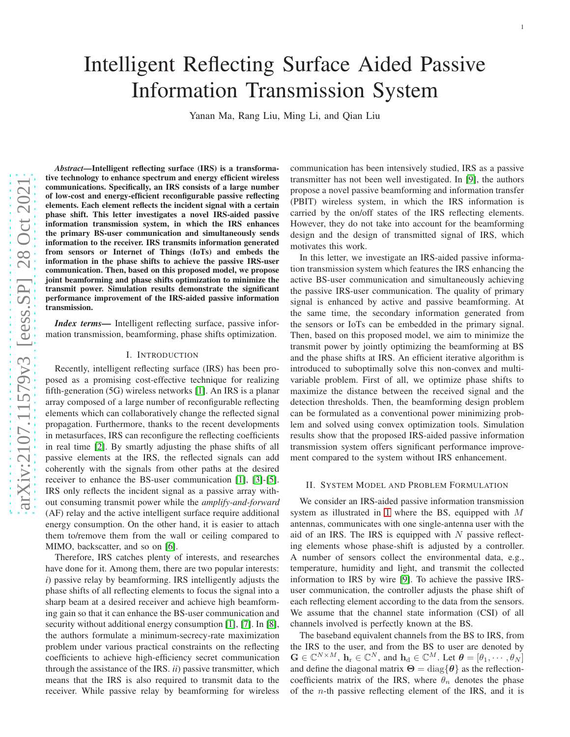# Intelligent Reflecting Surface Aided Passive Information Transmission System

Yanan Ma, Rang Liu, Ming Li, and Qian Liu

*Abstract*—Intelligent reflecting surface (IRS) is a transformative technology to enhance spectrum and energy efficient wireless communications. Specifically, an IRS consists of a large number of low-cost and energy-efficient reconfigurable passive reflecting elements. Each element reflects the incident signal with a certain phase shift. This letter investigates a novel IRS-aided passive information transmission system, in which the IRS enhances the primary BS-user communication and simultaneously send s information to the receiver. IRS transmits information generated from sensors or Internet of Things (IoTs) and embeds the information in the phase shifts to achieve the passive IRS-user communication. Then, based on this proposed model, we propose joint beamforming and phase shifts optimization to minimize the transmit power. Simulation results demonstrate the significant performance improvement of the IRS-aided passive information transmission.

*Index terms—* Intelligent reflecting surface, passive information transmission, beamforming, phase shifts optimization.

#### I. INTRODUCTION

Recently, intelligent reflecting surface (IRS) has been pro posed as a promising cost-effective technique for realizin g fifth-generation (5G) wireless networks [1]. An IRS is a planar array composed of a large number of reconfigurable reflecting elements which can collaboratively change the reflected signal propagation. Furthermore, thanks to the recent developments in metasurfaces, IRS can reconfigure the reflecting coefficients in real time [\[2\]](#page-3-0). By smartly adjusting the phase shifts of all passive elements at the IRS, the reflected signals can add coherently with the signals from other paths at the desired receiver to enhance the BS-user communication [1], [3]-[5] . IRS only reflects the incident signal as a passive array without consuming transmit power while the *amplify-and-forward* (AF) relay and the active intelligent surface require additional energy consumption. On the other hand, it is easier to attach them to/remove them from the wall or ceiling compared to MIMO, backscatter, and so on [6].

Therefore, IRS catches plenty of interests, and researches have done for it. Among them, there are two popular interests: *i*) passive relay by beamforming. IRS intelligently adjusts the phase shifts of all reflecting elements to focus the signal into a sharp beam at a desired receiver and achieve high beamforming gain so that it can enhance the BS-user communication and security without additional energy consumption [1], [7]. In [8], the authors formulate a minimum-secrecy-rate maximizatio n problem under various practical constraints on the reflecting coefficients to achieve high-efficiency secret communication through the assistance of the IRS. *ii*) passive transmitter, which means that the IRS is also required to transmit data to the receiver. While passive relay by beamforming for wireless

communication has been intensively studied, IRS as a passiv e transmitter has not been well investigated. In [9], the authors propose a novel passive beamforming and information transfer (PBIT) wireless system, in which the IRS information is carried by the on/off states of the IRS reflecting elements. However, they do not take into account for the beamforming design and the design of transmitted signal of IRS, which motivates this work.

In this letter, we investigate an IRS-aided passive information transmission system which features the IRS enhancing the active BS-user communication and simultaneously achievin g the passive IRS-user communication. The quality of primary signal is enhanced by active and passive beamforming. At the same time, the secondary information generated from the sensors or IoTs can be embedded in the primary signal. Then, based on this proposed model, we aim to minimize the transmit power by jointly optimizing the beamforming at BS and the phase shifts at IRS. An efficient iterative algorithm is introduced to suboptimally solve this non-convex and multi variable problem. First of all, we optimize phase shifts to maximize the distance between the received signal and the detection thresholds. Then, the beamforming design proble m can be formulated as a conventional power minimizing problem and solved using convex optimization tools. Simulation results show that the proposed IRS-aided passive information transmission system offers significant performance improvement compared to the system without IRS enhancement.

# II. SYSTEM MODEL AND PROBLEM FORMULATION

We consider an IRS-aided passive information transmission system as illustrated in [1](#page-1-0) where the BS, equipped with M antennas, communicates with one single-antenna user with the aid of an IRS. The IRS is equipped with  $N$  passive reflecting elements whose phase-shift is adjusted by a controller. A number of sensors collect the environmental data, e.g., temperature, humidity and light, and transmit the collecte d information to IRS by wire [9]. To achieve the passive IRSuser communication, the controller adjusts the phase shift of each reflecting element according to the data from the sensors. We assume that the channel state information (CSI) of all channels involved is perfectly known at the BS.

The baseband equivalent channels from the BS to IRS, from the IRS to the user, and from the BS to user are denoted by  $\mathbf{G} \in \mathbb{C}^{N \times M}$ ,  $\mathbf{h}_r \in \mathbb{C}^N$ , and  $\mathbf{h}_d \in \mathbb{C}^M$ . Let  $\boldsymbol{\theta} = [\theta_1, \cdots, \theta_N]$ and define the diagonal matrix  $\Theta = \text{diag}\{\theta\}$  as the reflectioncoefficients matrix of the IRS, where  $\theta_n$  denotes the phase of the  $n$ -th passive reflecting element of the IRS, and it is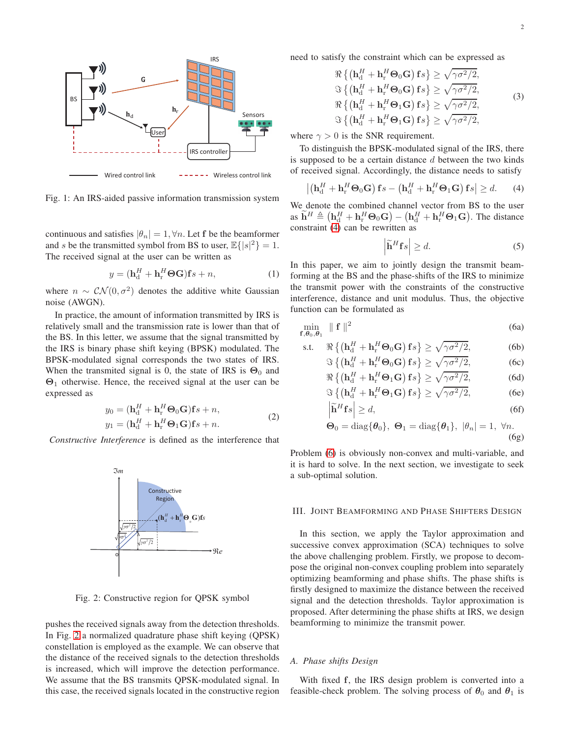<span id="page-1-0"></span>

Fig. 1: An IRS-aided passive information transmission system

continuous and satisfies  $|\theta_n| = 1, \forall n$ . Let f be the beamformer and s be the transmitted symbol from BS to user,  $\mathbb{E}\{|s|^2\} = 1$ . The received signal at the user can be written as

$$
y = (\mathbf{h}_{d}^{H} + \mathbf{h}_{r}^{H} \boldsymbol{\Theta} \mathbf{G}) \mathbf{f} s + n,
$$
 (1)

where  $n \sim \mathcal{CN}(0, \sigma^2)$  denotes the additive white Gaussian noise (AWGN).

In practice, the amount of information transmitted by IRS is relatively small and the transmission rate is lower than that of the BS. In this letter, we assume that the signal transmitted by the IRS is binary phase shift keying (BPSK) modulated. The BPSK-modulated signal corresponds the two states of IRS. When the transmited signal is 0, the state of IRS is  $\Theta_0$  and Θ<sup>1</sup> otherwise. Hence, the received signal at the user can be expressed as

$$
y_0 = (\mathbf{h}_d^H + \mathbf{h}_r^H \Theta_0 \mathbf{G}) \mathbf{f}_s + n,
$$
  
\n
$$
y_1 = (\mathbf{h}_d^H + \mathbf{h}_r^H \Theta_1 \mathbf{G}) \mathbf{f}_s + n.
$$
\n(2)

<span id="page-1-1"></span>*Constructive Interference* is defined as the interference that



Fig. 2: Constructive region for QPSK symbol

pushes the received signals away from the detection thresholds. In Fig. [2](#page-1-1) a normalized quadrature phase shift keying (QPSK) constellation is employed as the example. We can observe that the distance of the received signals to the detection thresholds is increased, which will improve the detection performance. We assume that the BS transmits QPSK-modulated signal. In this case, the received signals located in the constructive region need to satisfy the constraint which can be expressed as

$$
\Re\left\{ \left( \mathbf{h}_{\mathrm{d}}^{H} + \mathbf{h}_{\mathrm{r}}^{H} \Theta_{0} \mathbf{G} \right) \mathbf{f}_{s} \right\} \geq \sqrt{\gamma \sigma^{2}/2},
$$
\n
$$
\Im\left\{ \left( \mathbf{h}_{\mathrm{d}}^{H} + \mathbf{h}_{\mathrm{r}}^{H} \Theta_{0} \mathbf{G} \right) \mathbf{f}_{s} \right\} \geq \sqrt{\gamma \sigma^{2}/2},
$$
\n
$$
\Re\left\{ \left( \mathbf{h}_{\mathrm{d}}^{H} + \mathbf{h}_{\mathrm{r}}^{H} \Theta_{1} \mathbf{G} \right) \mathbf{f}_{s} \right\} \geq \sqrt{\gamma \sigma^{2}/2},
$$
\n
$$
\Im\left\{ \left( \mathbf{h}_{\mathrm{d}}^{H} + \mathbf{h}_{\mathrm{r}}^{H} \Theta_{1} \mathbf{G} \right) \mathbf{f}_{s} \right\} \geq \sqrt{\gamma \sigma^{2}/2},
$$
\n(3)

where  $\gamma > 0$  is the SNR requirement.

To distinguish the BPSK-modulated signal of the IRS, there is supposed to be a certain distance  $d$  between the two kinds of received signal. Accordingly, the distance needs to satisfy

<span id="page-1-2"></span>
$$
\left| \left( \mathbf{h}_{\mathrm{d}}^H + \mathbf{h}_{\mathrm{r}}^H \mathbf{\Theta}_0 \mathbf{G} \right) \mathbf{f}_s - \left( \mathbf{h}_{\mathrm{d}}^H + \mathbf{h}_{\mathrm{r}}^H \mathbf{\Theta}_1 \mathbf{G} \right) \mathbf{f}_s \right| \geq d. \tag{4}
$$

We denote the combined channel vector from BS to the user as  $\widetilde{\mathbf{h}}^H \triangleq (\mathbf{h}_d^H + \mathbf{h}_r^H \boldsymbol{\Theta}_0 \mathbf{G}) - (\mathbf{h}_d^H + \mathbf{h}_r^H \boldsymbol{\Theta}_1 \mathbf{G})$ . The distance constraint [\(4\)](#page-1-2) can be rewritten as

<span id="page-1-4"></span><span id="page-1-3"></span>
$$
\left| \widetilde{\mathbf{h}}^H \mathbf{f} s \right| \ge d. \tag{5}
$$

In this paper, we aim to jointly design the transmit beamforming at the BS and the phase-shifts of the IRS to minimize the transmit power with the constraints of the constructive interference, distance and unit modulus. Thus, the objective function can be formulated as

$$
\min_{\mathbf{f},\boldsymbol{\theta}_0,\boldsymbol{\theta}_1} \parallel \mathbf{f} \parallel^2
$$
 (6a)

s.t. 
$$
\Re \left\{ \left( \mathbf{h}_{d}^{H} + \mathbf{h}_{r}^{H} \Theta_{0} \mathbf{G} \right) \mathbf{f}_{s} \right\} \ge \sqrt{\gamma \sigma^{2}/2},
$$
 (6b)  
 $\Im \left\{ \left( \mathbf{h}_{r}^{H} + \mathbf{h}_{r}^{H} \Theta_{0} \mathbf{G} \right) \mathbf{f}_{s} \right\} > \sqrt{\gamma \sigma^{2}/2},$  (6c)

$$
\Im\left\{ \left( \mathbf{h}_{\mathrm{d}}^H + \mathbf{h}_{\mathrm{r}}^H \mathbf{\Theta}_0 \mathbf{G} \right) \mathbf{f}_s \right\} \ge \sqrt{\gamma \sigma^2 / 2},\tag{6c}
$$
\n
$$
\Re f(\mathbf{h}_{\mathrm{r}}^H + \mathbf{h}_{\mathrm{r}}^H \mathbf{\Theta}_0 \mathbf{G}) \mathbf{f}_s \ge \sqrt{\gamma \sigma^2 / 2},\tag{6d}
$$

$$
\Re\left\{ \left( \mathbf{h}_{\mathrm{d}}^H + \mathbf{h}_{\mathrm{r}}^H \mathbf{\Theta}_1 \mathbf{G} \right) \mathbf{f} s \right\} \ge \sqrt{\gamma \sigma^2 / 2},\tag{6d}
$$

$$
\Im\left\{ \left( \mathbf{h}_{\mathrm{d}}^H + \mathbf{h}_{\mathrm{r}}^H \boldsymbol{\Theta}_1 \mathbf{G} \right) \mathbf{f}_s \right\} \ge \sqrt{\gamma \sigma^2 / 2},\tag{6e}
$$

<span id="page-1-5"></span>
$$
\widetilde{\mathbf{h}}^H \mathbf{f} s \Big| \ge d,\tag{6f}
$$

$$
\Theta_0 = \text{diag}\{\theta_0\}, \ \Theta_1 = \text{diag}\{\theta_1\}, \ |\theta_n| = 1, \ \forall n. \tag{6g}
$$

Problem [\(6\)](#page-1-3) is obviously non-convex and multi-variable, and it is hard to solve. In the next section, we investigate to seek a sub-optimal solution.

# III. JOINT BEAMFORMING AND PHASE SHIFTERS DESIGN

In this section, we apply the Taylor approximation and successive convex approximation (SCA) techniques to solve the above challenging problem. Firstly, we propose to decompose the original non-convex coupling problem into separately optimizing beamforming and phase shifts. The phase shifts is firstly designed to maximize the distance between the received signal and the detection thresholds. Taylor approximation is proposed. After determining the phase shifts at IRS, we design beamforming to minimize the transmit power.

# *A. Phase shifts Design*

 $\overline{\phantom{a}}$  $\overline{\phantom{a}}$ 

With fixed f, the IRS design problem is converted into a feasible-check problem. The solving process of  $\theta_0$  and  $\theta_1$  is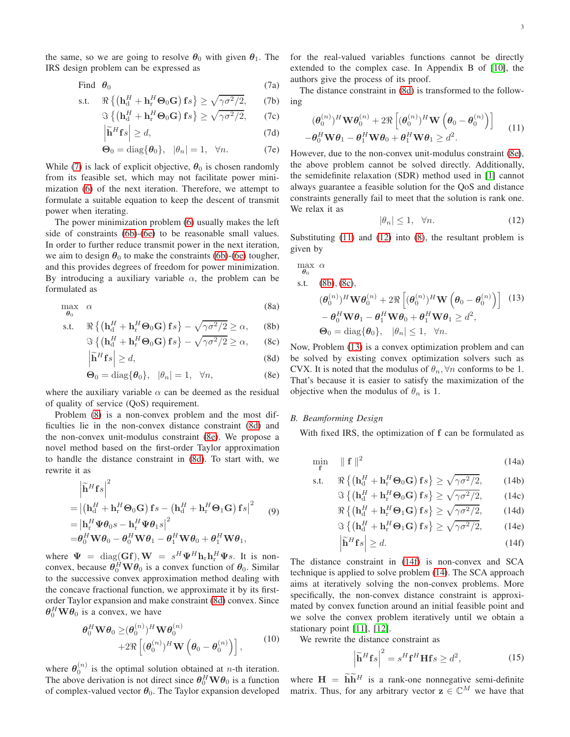the same, so we are going to resolve  $\theta_0$  with given  $\theta_1$ . The IRS design problem can be expressed as

Find 
$$
\theta_0
$$
 (7a)

s.t. 
$$
\Re \{ (\mathbf{h}_d^H + \mathbf{h}_r^H \Theta_0 \mathbf{G}) \mathbf{f}_s \} \ge \sqrt{\gamma \sigma^2 / 2},
$$
 (7b)  
 $\Im \{ (\mathbf{h}_d^H + \mathbf{h}_r^H \Theta_0 \mathbf{G}) \mathbf{f}_s \} > \sqrt{\gamma \sigma^2 / 2}$  (7c)

$$
\Im\left\{ \left(\mathbf{h}_{\mathrm{d}}^H + \mathbf{h}_{\mathrm{r}}^H \mathbf{\Theta}_0 \mathbf{G} \right) \mathbf{f}_s \right\} \ge \sqrt{\gamma \sigma^2 / 2},\qquad(7c)
$$

$$
\left| \widetilde{\mathbf{h}}^H \mathbf{f} s \right| \ge d,\tag{7d}
$$

$$
\mathbf{\Theta}_0 = \text{diag}\{\boldsymbol{\theta}_0\}, \quad |\theta_n| = 1, \quad \forall n. \tag{7e}
$$

While [\(7\)](#page-2-0) is lack of explicit objective,  $\theta_0$  is chosen randomly from its feasible set, which may not facilitate power minimization [\(6\)](#page-1-3) of the next iteration. Therefore, we attempt to formulate a suitable equation to keep the descent of transmit power when iterating.

The power minimization problem [\(6\)](#page-1-3) usually makes the left side of constraints [\(6b\)](#page-1-4)-[\(6e\)](#page-1-5) to be reasonable small values. In order to further reduce transmit power in the next iteration, we aim to design  $\theta_0$  to make the constraints [\(6b\)](#page-1-4)-[\(6e\)](#page-1-5) tougher, and this provides degrees of freedom for power minimization. By introducing a auxiliary variable  $\alpha$ , the problem can be formulated as

<span id="page-2-1"></span>
$$
\max_{\theta_0} \quad \alpha \tag{8a}
$$

s.t. 
$$
\Re \left\{ \left( \mathbf{h}_{d}^{H} + \mathbf{h}_{r}^{H} \boldsymbol{\Theta}_{0} \mathbf{G} \right) \mathbf{f}_{s} \right\} - \sqrt{\gamma \sigma^{2}/2} \ge \alpha,
$$
 (8b)  
 $\Leftrightarrow f(\mathbf{h}^{H} + \mathbf{h}^{H} \boldsymbol{\Theta}_{0} \mathbf{G}) \mathbf{f}_{s} = \sqrt{\gamma \sigma^{2}/2} > \alpha$  (8c)

$$
\Im\left\{ \left( \mathbf{h}_{\mathrm{d}}^H + \mathbf{h}_{\mathrm{r}}^H \mathbf{\Theta}_0 \mathbf{G} \right) \mathbf{f}_s \right\} - \sqrt{\gamma \sigma^2 / 2} \ge \alpha, \qquad (8c)
$$

$$
\left| \tilde{\mathbf{h}}^H \mathbf{f} s \right| \ge d,\tag{8d}
$$

$$
\Theta_0 = \text{diag}\{\theta_0\}, \quad |\theta_n| = 1, \quad \forall n,
$$
\n(8e)

where the auxiliary variable  $\alpha$  can be deemed as the residual of quality of service (QoS) requirement.

Problem [\(8\)](#page-2-1) is a non-convex problem and the most difficulties lie in the non-convex distance constraint [\(8d\)](#page-2-2) and the non-convex unit-modulus constraint [\(8e\)](#page-2-3). We propose a novel method based on the first-order Taylor approximation to handle the distance constraint in [\(8d\)](#page-2-2). To start with, we rewrite it as

$$
\begin{aligned}\n&\left|\widetilde{\mathbf{h}}^{H}\mathbf{f}s\right|^{2} \\
&= \left|\left(\mathbf{h}_{d}^{H} + \mathbf{h}_{r}^{H}\mathbf{\Theta}_{0}\mathbf{G}\right)\mathbf{f}s - \left(\mathbf{h}_{d}^{H} + \mathbf{h}_{r}^{H}\mathbf{\Theta}_{1}\mathbf{G}\right)\mathbf{f}s\right|^{2} \qquad (9) \\
&= \left|\mathbf{h}_{r}^{H}\mathbf{\Psi}\boldsymbol{\theta}_{0}s - \mathbf{h}_{r}^{H}\mathbf{\Psi}\boldsymbol{\theta}_{1}s\right|^{2} \\
&= \boldsymbol{\theta}_{0}^{H}\mathbf{W}\boldsymbol{\theta}_{0} - \boldsymbol{\theta}_{0}^{H}\mathbf{W}\boldsymbol{\theta}_{1} - \boldsymbol{\theta}_{1}^{H}\mathbf{W}\boldsymbol{\theta}_{0} + \boldsymbol{\theta}_{1}^{H}\mathbf{W}\boldsymbol{\theta}_{1},\n\end{aligned}
$$

where  $\Psi = \text{diag}(\mathbf{G}\mathbf{f}), \mathbf{W} = s^H \Psi^H \mathbf{h}_r \mathbf{h}_r^H \Psi s$ . It is nonconvex, because  $\theta_0^H \mathbf{W} \theta_0$  is a convex function of  $\theta_0$ . Similar to the successive convex approximation method dealing with the concave fractional function, we approximate it by its firstorder Taylor expansion and make constraint [\(8d\)](#page-2-2) convex. Since  $\theta_0^H \mathbf{W} \theta_0$  is a convex, we have

$$
\theta_0^H \mathbf{W} \theta_0 \geq (\theta_0^{(n)})^H \mathbf{W} \theta_0^{(n)} + 2 \Re \left[ (\theta_0^{(n)})^H \mathbf{W} \left( \theta_0 - \theta_0^{(n)} \right) \right],
$$
 (10)

where  $\theta_0^{(n)}$  is the optimal solution obtained at *n*-th iteration. The above derivation is not direct since  $\theta_0^H \mathbf{W} \theta_0$  is a function of complex-valued vector  $\theta_0$ . The Taylor expansion developed <span id="page-2-0"></span>for the real-valued variables functions cannot be directly extended to the complex case. In Appendix B of [\[10\]](#page-3-1), the authors give the process of its proof.

The distance constraint in [\(8d\)](#page-2-2) is transformed to the following

<span id="page-2-4"></span>
$$
(\boldsymbol{\theta}_0^{(n)})^H \mathbf{W} \boldsymbol{\theta}_0^{(n)} + 2 \Re \left[ (\boldsymbol{\theta}_0^{(n)})^H \mathbf{W} \left( \boldsymbol{\theta}_0 - \boldsymbol{\theta}_0^{(n)} \right) \right] - \boldsymbol{\theta}_0^H \mathbf{W} \boldsymbol{\theta}_1 - \boldsymbol{\theta}_1^H \mathbf{W} \boldsymbol{\theta}_0 + \boldsymbol{\theta}_1^H \mathbf{W} \boldsymbol{\theta}_1 \geq d^2.
$$
 (11)

However, due to the non-convex unit-modulus constraint [\(8e\)](#page-2-3), the above problem cannot be solved directly. Additionally, the semidefinite relaxation (SDR) method used in [1] cannot always guarantee a feasible solution for the QoS and distance constraints generally fail to meet that the solution is rank one. We relax it as

<span id="page-2-5"></span>
$$
|\theta_n| \le 1, \quad \forall n. \tag{12}
$$

Substituting [\(11\)](#page-2-4) and [\(12\)](#page-2-5) into [\(8\)](#page-2-1), the resultant problem is given by

<span id="page-2-8"></span>
$$
\max_{\theta_0} \alpha
$$
\ns.t. (8b), (8c),  
\n
$$
(\theta_0^{(n)})^H \mathbf{W} \theta_0^{(n)} + 2 \Re \left[ (\theta_0^{(n)})^H \mathbf{W} \left( \theta_0 - \theta_0^{(n)} \right) \right]
$$
 (13)  
\n
$$
- \theta_0^H \mathbf{W} \theta_1 - \theta_1^H \mathbf{W} \theta_0 + \theta_1^H \mathbf{W} \theta_1 \geq d^2,
$$
\n
$$
\Theta_0 = \text{diag}\{\theta_0\}, \quad |\theta_n| \leq 1, \quad \forall n.
$$

<span id="page-2-7"></span><span id="page-2-6"></span><span id="page-2-3"></span><span id="page-2-2"></span>Now, Problem [\(13\)](#page-2-8) is a convex optimization problem and can be solved by existing convex optimization solvers such as CVX. It is noted that the modulus of  $\theta_n$ ,  $\forall n$  conforms to be 1. That's because it is easier to satisfy the maximization of the objective when the modulus of  $\theta_n$  is 1.

# *B. Beamforming Design*

<span id="page-2-10"></span>With fixed IRS, the optimization of f can be formulated as

$$
\min_{\mathbf{f}} \quad \parallel \mathbf{f} \parallel^2 \tag{14a}
$$

$$
\text{s.t.} \qquad \Re\left\{ \left( \mathbf{h}_{\mathrm{d}}^H + \mathbf{h}_{\mathrm{r}}^H \boldsymbol{\Theta}_0 \mathbf{G} \right) \mathbf{f} s \right\} \ge \sqrt{\gamma \sigma^2 / 2},\tag{14b}
$$

<span id="page-2-11"></span>
$$
\Im\left\{\left(\mathbf{h}_{\mathrm{d}}^H + \mathbf{h}_{\mathrm{r}}^H \mathbf{\Theta}_0 \mathbf{G}\right) \mathbf{f}_s\right\} \ge \sqrt{\gamma \sigma^2 / 2},\qquad(14c)
$$

<span id="page-2-12"></span>
$$
\Re\left\{ \left( \mathbf{h}_{\mathrm{d}}^{H} + \mathbf{h}_{\mathrm{r}}^{H} \boldsymbol{\Theta}_{1} \mathbf{G} \right) \mathbf{f}_{S} \right\} \ge \sqrt{\gamma \sigma^{2} / 2},\qquad(14d)
$$

$$
\Im\left\{ \left(\mathbf{h}_{\mathrm{d}}^{H} + \mathbf{h}_{\mathrm{r}}^{H} \mathbf{\Theta}_{1} \mathbf{G}\right) \mathbf{f}s \right\} \ge \sqrt{\gamma \sigma^{2}/2},\qquad(14e)
$$

$$
\left| \widetilde{\mathbf{h}}^{H} \mathbf{f}s \right| \ge d.
$$

<span id="page-2-14"></span><span id="page-2-13"></span><span id="page-2-9"></span>
$$
\widetilde{\mathbf{h}}^H \mathbf{f} s \Big| \ge d. \tag{14f}
$$

The distance constraint in [\(14f\)](#page-2-9) is non-convex and SCA technique is applied to solve problem [\(14\)](#page-2-10). The SCA approach aims at iteratively solving the non-convex problems. More specifically, the non-convex distance constraint is approximated by convex function around an initial feasible point and we solve the convex problem iteratively until we obtain a stationary point [\[11\]](#page-3-2), [\[12\]](#page-3-3).

We rewrite the distance constraint as

$$
\left|\widetilde{\mathbf{h}}^H \mathbf{f} s\right|^2 = s^H \mathbf{f}^H \mathbf{H} \mathbf{f} s \ge d^2,\tag{15}
$$

where  $H = \widetilde{h} \widetilde{h}^H$  is a rank-one nonnegative semi-definite matrix. Thus, for any arbitrary vector  $z \in \mathbb{C}^M$  we have that